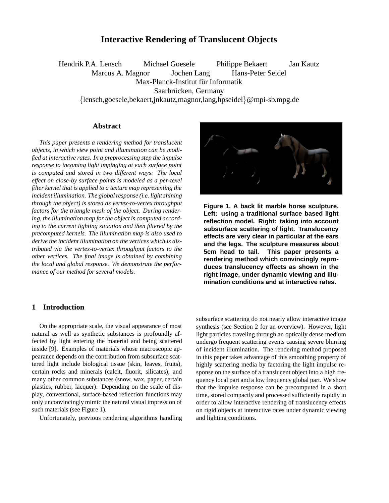# **Interactive Rendering of Translucent Objects**

Hendrik P.A. Lensch Michael Goesele Philippe Bekaert Jan Kautz Marcus A. Magnor Jochen Lang Hans-Peter Seidel Max-Planck-Institut für Informatik Saarbrücken, Germany {lensch,goesele,bekaert,jnkautz,magnor,lang,hpseidel}@mpi-sb.mpg.de

# **Abstract**

*This paper presents a rendering method for translucent objects, in which view point and illumination can be modified at interactive rates. In a preprocessing step the impulse response to incoming light impinging at each surface point is computed and stored in two different ways: The local effect on close-by surface points is modeled as a per-texel filter kernel that is applied to a texture map representing the incident illumination. The global response (i.e. light shining through the object) is stored as vertex-to-vertex throughput factors for the triangle mesh of the object. During rendering, the illumination map for the object is computed according to the current lighting situation and then filtered by the precomputed kernels. The illumination map is also used to derive the incident illumination on the vertices which is distributed via the vertex-to-vertex throughput factors to the other vertices. The final image is obtained by combining the local and global response. We demonstrate the performance of our method for several models.*

# **1 Introduction**

On the appropriate scale, the visual appearance of most natural as well as synthetic substances is profoundly affected by light entering the material and being scattered inside [9]. Examples of materials whose macroscopic appearance depends on the contribution from subsurface scattered light include biological tissue (skin, leaves, fruits), certain rocks and minerals (calcit, fluorit, silicates), and many other common substances (snow, wax, paper, certain plastics, rubber, lacquer). Depending on the scale of display, conventional, surface-based reflection functions may only unconvincingly mimic the natural visual impression of such materials (see Figure 1).

Unfortunately, previous rendering algorithms handling

subsurface scattering do not nearly allow interactive image synthesis (see Section 2 for an overview). However, light light particles traveling through an optically dense medium undergo frequent scattering events causing severe blurring of incident illumination. The rendering method proposed in this paper takes advantage of this smoothing property of highly scattering media by factoring the light impulse response on the surface of a translucent object into a high frequency local part and a low frequency global part. We show that the impulse response can be precomputed in a short time, stored compactly and processed sufficiently rapidly in order to allow interactive rendering of translucency effects on rigid objects at interactive rates under dynamic viewing and lighting conditions.



**Figure 1. A back lit marble horse sculpture. Left: using a traditional surface based light reflection model. Right: taking into account subsurface scattering of light. Translucency effects are very clear in particular at the ears and the legs. The sculpture measures about 5cm head to tail. This paper presents a rendering method which convincingly reproduces translucency effects as shown in the right image, under dynamic viewing and illumination conditions and at interactive rates.**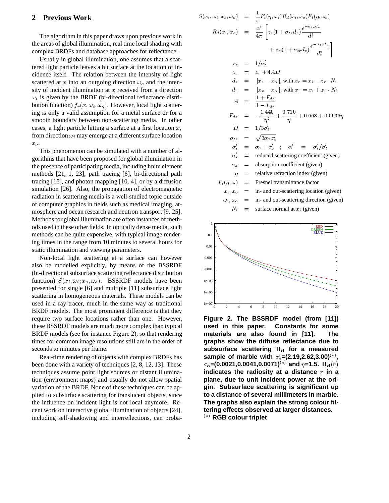## **2 Previous Work**

The algorithm in this paper draws upon previous work in the areas of global illumination, real time local shading with complex BRDFs and database approaches for reflectance.

Usually in global illumination, one assumes that a scattered light particle leaves a hit surface at the location of incidence itself. The relation between the intensity of light scattered at x into an outgoing direction  $\omega<sub>o</sub>$  and the intensity of incident illumination at  $x$  received from a direction  $\omega_i$  is given by the BRDF (bi-directional reflectance distribution function)  $f_r(x, \omega_i, \omega_o)$ . However, local light scattering is only a valid assumption for a metal surface or for a smooth boundary between non-scattering media. In other cases, a light particle hitting a surface at a first location  $x_i$ from direction  $\omega_i$  may emerge at a different surface location  $x_{\alpha}$ .

This phenomenon can be simulated with a number of algorithms that have been proposed for global illumination in the presence of participating media, including finite element methods [21, 1, 23], path tracing [6], bi-directional path tracing [15], and photon mapping [10, 4], or by a diffusion simulation [26]. Also, the propagation of electromagnetic radiation in scattering media is a well-studied topic outside of computer graphics in fields such as medical imaging, atmosphere and ocean research and neutron transport [9, 25]. Methods for global illumination are often instances of methods used in these other fields. In optically dense media, such methods can be quite expensive, with typical image rendering times in the range from 10 minutes to several hours for static illumination and viewing parameters.

Non-local light scattering at a surface can however also be modelled explicitly, by means of the BSSRDF (bi-directional subsurface scattering reflectance distribution function)  $S(x_i, \omega_i; x_o, \omega_o)$ . BSSRDF models have been presented for single [6] and multiple [11] subsurface light scattering in homogeneous materials. These models can be used in a ray tracer, much in the same way as traditional BRDF models. The most prominent difference is that they require two surface locations rather than one. However, these BSSRDF models are much more complex than typical BRDF models (see for instance Figure 2), so that rendering times for common image resolutions still are in the order of seconds to minutes per frame.

Real-time rendering of objects with complex BRDFs has been done with a variety of techniques [2, 8, 12, 13]. These techniques assume point light sources or distant illumination (environment maps) and usually do not allow spatial variation of the BRDF. None of these techniques can be applied to subsurface scattering for translucent objects, since the influence on incident light is not local anymore. Recent work on interactive global illumination of objects [24], including self-shadowing and interreflections, can proba-

$$
S(x_i, \omega_i; x_o, \omega_o) = \frac{1}{\pi} F_t(\eta, \omega_i) R_d(x_i, x_o) F_t(\eta, \omega_o)
$$
  
\n
$$
R_d(x_i, x_o) = \frac{\alpha'}{4\pi} \left[ z_r(1 + \sigma_{tr} d_r) \frac{e^{-\sigma_{tr} d_r}}{d_r^3} + z_v(1 + \sigma_{tr} d_v) \frac{e^{-\sigma_{tr} d_v}}{d_v^3} \right]
$$
  
\n
$$
z_r = 1/\sigma_t'
$$
  
\n
$$
z_v = z_r + 4AD
$$
  
\n
$$
d_v = ||x_r - x_o||
$$
, with  $x_r = x_i - z_r \cdot N_i$   
\n
$$
d_v = ||x_v - x_o||
$$
, with  $x_v = x_i + z_v \cdot N_i$   
\n
$$
A = \frac{1 + F_{dr}}{1 - F_{dr}}
$$
  
\n
$$
F_{dr} = -\frac{1.440}{\eta^2} + \frac{0.710}{\eta} + 0.668 + 0.0636\eta
$$
  
\n
$$
D = 1/3\sigma_t'
$$
  
\n
$$
\sigma_{tr} = \sqrt{3\sigma_a \sigma_t'}
$$
  
\n
$$
\sigma_t' = \sigma_a + \sigma_s' \quad ; \quad \alpha' = \sigma_s'/\sigma_t'
$$
  
\n
$$
\sigma_s' = \text{reduced scattering coefficient (given)}
$$
  
\n
$$
\sigma_a = \text{absorption coefficient (given)}
$$
  
\n
$$
F_t(\eta, \omega) = \text{Fresnel transmitter factor}
$$
  
\n
$$
x_i, x_o = \text{in- and out-scattering location (given)}
$$
  
\n
$$
N_i = \text{surface normal at } x_i \text{ (given)}
$$
  
\n
$$
N_i = \text{surface normal at } x_i \text{ (given)}
$$

**Figure 2. The BSSRDF model (from [11]) used in this paper. Constants for some materials are also found in [11]. The graphs show the diffuse reflectance due to** subsurface scattering R<sub>d</sub> for a measured sample of marble with  $\sigma_{\rm s}^{\prime}$ =(2.19,2.62,3.00) $^{(*)}$ ,  $\sigma_{\bf a}$ =(0.0021,0.0041,0.0071) $^{(*)}$  and  $\eta$ =1.5.  ${\bf R}_{\bf d}({\bf r})$ **indicates the radiosity at a distance** r **in a plane, due to unit incident power at the origin. Subsurface scattering is significant up to a distance of several millimeters in marble. The graphs also explain the strong colour filtering effects observed at larger distances.** () **RGB colour triplet**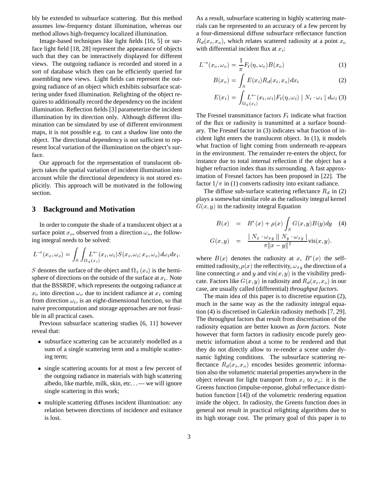bly be extended to subsurface scattering. But this method assumes low-frequency distant illumination, whereas our method allows high-frequency localized illumination.

Image-based techniques like light fields [16, 5] or surface light field [18, 28] represent the appearance of objects such that they can be interactively displayed for different views. The outgoing radiance is recorded and stored in a sort of database which then can be efficiently queried for assembling new views. Light fields can represent the outgoing radiance of an object which exhibits subsurface scattering under fixed illumination. Relighting of the object requires to additionally record the dependency on the incident illumination. Reflection fields [3] parameterize the incident illumination by its direction only. Although different illumination can be simulated by use of different environment maps, it is not possible e.g. to cast a shadow line onto the object. The directional dependency is not sufficient to represent local variation of the illumination on the object's surface.

Our approach for the representation of translucent objects takes the spatial variation of incident illumination into account while the directional dependency is not stored explicitly. This approach will be motivated in the following section.

## **3 Background and Motivation**

In order to compute the shade of a translucent object at a surface point  $x_o$ , observed from a direction  $\omega_o$ , the following integral needs to be solved:

$$
L^{\rightarrow}(x_o,\omega_o)=\int_S\int_{\Omega_+(x_i)}\!\!\!\! L^{\leftarrow}(x_i,\omega_i)S(x_i,\omega_i;x_o,\omega_o)d\omega_i dx_i.
$$

S denotes the surface of the object and  $\Omega_{+}(x_i)$  is the hemisphere of directions on the outside of the surface at  $x_i$ . Note that the BSSRDF, which represents the outgoing radiance at  $x_o$  into direction  $\omega_o$  due to incident radiance at  $x_i$  coming from direction  $\omega_i$ , is an eight-dimensional function, so that naive precomputation and storage approaches are not feasible in all practical cases.

Previous subsurface scattering studies [6, 11] however reveal that:

- subsurface scattering can be accurately modelled as a sum of a single scattering term and a multiple scattering term;
- single scattering acounts for at most a few percent of the outgoing radiance in materials with high scattering albedo, like marble, milk, skin, etc... — we will ignore single scattering in this work;
- multiple scattering diffuses incident illumination: any relation between directions of incidence and exitance is lost.

As a result, subsurface scattering in highly scattering materials can be represented to an accuracy of a few percent by a four-dimensional diffuse subsurface reflectance function  $R_d(x_i, x_o)$ , which relates scattered radiosity at a point  $x_o$ with differential incident flux at  $x_i$ :

$$
L^{\rightarrow}(x_o,\omega_o) = \frac{1}{\pi}F_t(\eta,\omega_o)B(x_o)
$$
 (1)

$$
B(x_o) = \int_S E(x_i) R_d(x_i, x_o) dx_i \tag{2}
$$

$$
E(x_i) = \int_{\Omega_+(x_i)} L^{\leftarrow}(x_i, \omega_i) F_t(\eta, \omega_i) |N_i \cdot \omega_i| d\omega_i \tag{3}
$$

The Fresnel transmittance factors  $F_t$  indicate what fraction of the flux or radiosity is transmitted at a surface boundary. The Fresnel factor in (3) indicates what fraction of incident light enters the translucent object. In (1), it models what fraction of light coming from underneath re-appears in the environment. The remainder re-enters the object, for instance due to total internal reflection if the object has a higher refraction index than its surrounding. A fast approximation of Fresnel factors has been proposed in [22]. The factor  $1/\pi$  in (1) converts radiosity into exitant radiance.

The diffuse sub-surface scattering reflectance  $R_d$  in (2) plays a somewhat similar role as the radiosity integral kernel  $G(x, y)$  in the radiosity integral Equation

$$
B(x) = Be(x) + \rho(x) \int_S G(x, y)B(y)dy \quad (4)
$$
  

$$
G(x, y) = \frac{\mid N_x \cdot \omega_{xy} \mid N_y \cdot \omega_{xy} \mid}{\pi \Vert x - y \Vert^2} \text{vis}(x, y).
$$

where  $B(x)$  denotes the radiosity at x,  $B^e(x)$  the selfemitted radiosity,  $\rho(x)$  the reflectivity,  $\omega_{xy}$  the direction of a line connecting x and y and vis $(x, y)$  is the visibility predicate. Factors like  $G(x, y)$  in radiosity and  $R_d(x_i, x_o)$  in our case, are usually called (differential) *throughput factors*.

The main idea of this paper is to discretise equation (2), much in the same way as the the radiosity integral equation (4) is discretised in Galerkin radiosity methods [7, 29]. The throughput factors that result from discretisation of the radiosity equation are better known as *form factors*. Note however that form factors in radiosity encode purely geometric information about a scene to be rendered and that they do not directly allow to re-render a scene under dynamic lighting conditions. The subsurface scattering reflectance  $R_d(x_i, x_o)$  encodes besides geometric information also the volumetric material properties anywhere in the object relevant for light transport from  $x_i$  to  $x_o$ : it is the Greens function (impulse-reponse, global reflectance distribution function [14]) of the volumetric rendering equation inside the object. In radiosity, the Greens function does in general not result in practical relighting algorithms due to its high storage cost. The primary goal of this paper is to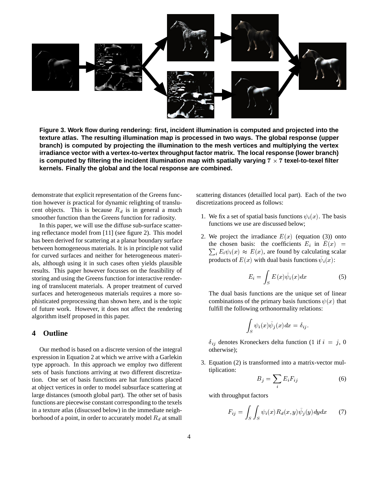

**Figure 3. Work flow during rendering: first, incident illumination is computed and projected into the texture atlas. The resulting illumination map is processed in two ways. The global response (upper branch) is computed by projecting the illumination to the mesh vertices and multiplying the vertex irradiance vector with a vertex-to-vertex throughput factor matrix. The local response (lower branch)** is computed by filtering the incident illumination map with spatially varying  $7 \times 7$  texel-to-texel filter **kernels. Finally the global and the local response are combined.**

demonstrate that explicit representation of the Greens function however *is* practical for dynamic relighting of translucent objects. This is because  $R_d$  is in general a much smoother function than the Greens function for radiosity.

In this paper, we will use the diffuse sub-surface scattering reflectance model from [11] (see figure 2). This model has been derived for scattering at a planar boundary surface between homogeneous materials. It is in principle not valid for curved surfaces and neither for heterogeneous materials, although using it in such cases often yields plausible results. This paper however focusses on the feasibility of storing and using the Greens function for interactive rendering of translucent materials. A proper treatment of curved surfaces and heterogeneous materials requires a more sophisticated preprocessing than shown here, and is the topic of future work. However, it does not affect the rendering algorithm itself proposed in this paper.

## **4 Outline**

Our method is based on a discrete version of the integral expression in Equation 2 at which we arrive with a Garlekin type approach. In this approach we employ two different sets of basis functions arriving at two different discretization. One set of basis functions are hat functions placed at object vertices in order to model subsurface scattering at large distances (smooth global part). The other set of basis functions are piecewise constant corresponding to the texels in a texture atlas (disucssed below) in the immediate neighborhood of a point, in order to accurately model  $R_d$  at small

scattering distances (detailled local part). Each of the two discretizations proceed as follows:

- 1. We fix a set of spatial basis functions  $\psi_i(x)$ . The basis functions we use are discussed below;
- 2. We project the irradiance  $E(x)$  (equation (3)) onto the chosen basis: the coefficients  $E_i$  in  $E(x)$  =  $\sum_i E_i \psi_i(x) \approx E(x)$ , are found by calculating scalar products of  $E(x)$  with dual basis functions  $\psi_i(x)$ :

$$
E_i = \int_S E(x)\tilde{\psi}_i(x)dx\tag{5}
$$

The dual basis functions are the unique set of linear combinations of the primary basis functions  $\psi(x)$  that fulfill the following orthonormality relations:

$$
\int_S \psi_i(x) \tilde{\psi}_j(x) dx = \delta_{ij}.
$$

 $\delta_{ij}$  denotes Kroneckers delta function (1 if  $i = j$ , 0 otherwise);

3. Equation (2) is transformed into a matrix-vector multiplication:

$$
B_j = \sum_i E_i F_{ij} \tag{6}
$$

with throughput factors

$$
F_{ij} = \int_{S} \int_{S} \psi_i(x) R_d(x, y) \tilde{\psi}_j(y) dy dx \tag{7}
$$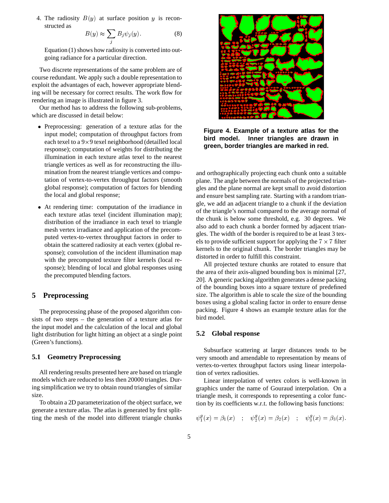4. The radiosity  $B(y)$  at surface position y is reconstructed as

$$
B(y) \approx \sum_{i} B_{j} \psi_{j}(y). \tag{8}
$$

 $\overline{ }$ Equation (1) shows how radiosity is converted into outgoing radiance for a particular direction.

Two discrete representations of the same problem are of course redundant. We apply such a double representation to exploit the advantages of each, however appropriate blending will be necessary for correct results. The work flow for rendering an image is illustrated in figure 3.

Our method has to address the following sub-problems, which are discussed in detail below:

- Preprocessing: generation of a texture atlas for the input model; computation of throughput factors from each texel to a 9×9 texel neighborhood (detailled local response); computation of weights for distributing the illumination in each texture atlas texel to the nearest triangle vertices as well as for reconstructing the illumination from the nearest triangle vertices and computation of vertex-to-vertex throughput factors (smooth global response); computation of factors for blending the local and global response;
- At rendering time: computation of the irradiance in each texture atlas texel (incident illumination map); distribution of the irradiance in each texel to triangle mesh vertex irradiance and application of the precomputed vertex-to-vertex throughput factors in order to obtain the scattered radiosity at each vertex (global response); convolution of the incident illumination map with the precomputed texture filter kernels (local response); blending of local and global responses using the precomputed blending factors.

#### **5 Preprocessing**

The preprocessing phase of the proposed algorithm consists of two steps – the generation of a texture atlas for the input model and the calculation of the local and global light distribution for light hitting an object at a single point (Green's functions).

#### **5.1 Geometry Preprocessing**

All rendering results presented here are based on triangle models which are reduced to less then 20000 triangles. During simplification we try to obtain round triangles of similar size.

To obtain a 2D parameterization of the object surface, we generate a texture atlas. The atlas is generated by first splitting the mesh of the model into different triangle chunks



**Figure 4. Example of a texture atlas for the bird model. Inner triangles are drawn in green, border triangles are marked in red.**

and orthographically projecting each chunk onto a suitable plane. The angle between the normals of the projected triangles and the plane normal are kept small to avoid distortion and ensure best sampling rate. Starting with a random triangle, we add an adjacent triangle to a chunk if the deviation of the triangle's normal compared to the average normal of the chunk is below some threshold, e.g. 30 degrees. We also add to each chunk a border formed by adjacent triangles. The width of the border is required to be at least 3 texels to provide sufficient support for applying the  $7 \times 7$  filter kernels to the original chunk. The border triangles may be distorted in order to fulfill this constraint.

All projected texture chunks are rotated to ensure that the area of their axis-aligned bounding box is minimal [27, 20]. A generic packing algorithm generates a dense packing of the bounding boxes into a square texture of predefined size. The algorithm is able to scale the size of the bounding boxes using a global scaling factor in order to ensure dense packing. Figure 4 shows an example texture atlas for the bird model.

## **5.2 Global response**

Subsurface scattering at larger distances tends to be very smooth and amendable to representation by means of vertex-to-vertex throughput factors using linear interpolation of vertex radiosities.

Linear interpolation of vertex colors is well-known in graphics under the name of Gouraud interpolation. On a triangle mesh, it corresponds to representing a color function by its coefficients w.r.t. the following basis functions:

$$
\psi_1^g(x) = \beta_1(x) \quad ; \quad \psi_2^g(x) = \beta_2(x) \quad ; \quad \psi_3^g(x) = \beta_3(x).
$$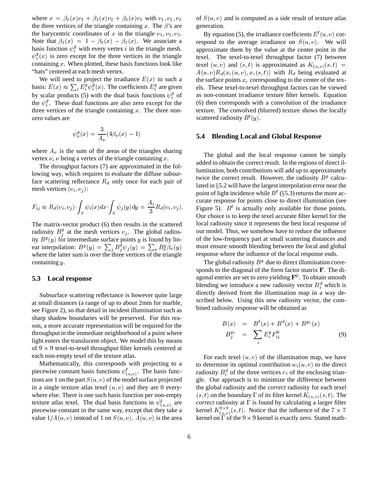where  $x = \beta_1(x)v_1 + \beta_2(x)v_2 + \beta_3(x)v_3$  with  $v_1, v_2, v_3$ the three vertices of the triangle containing x. The  $\beta$ 's are the barycentric coordinates of x in the triangle  $v_1, v_2, v_3$ . Note that  $\beta_3(x) = 1 - \beta_1(x) - \beta_2(x)$ . We associate a basis function  $\psi_i^g$  with every vertex i in the triangle mesh.  $\psi_i^g(x)$  is zero except for the three vertices in the triangle containing  $x$ . When plotted, these basis functions look like "hats" centered at each mesh vertex.

We will need to project the irradiance  $E(x)$  to such a basis:  $E(x) \approx \sum_i E_i^g \psi_i^g(x)$ . The coefficients  $E_i^g$  are given iby scalar products (5) with the dual basis functions  $\psi_i^g$  of the  $\psi_i^g$ . These dual functions are also zero except for the three vertices of the triangle containing  $x$ . The three nonzero values are

$$
\tilde{\psi}^g_\nu(x) = \frac{3}{A_\nu}(4\beta_\nu(x) - 1)
$$

where  $A_{\nu}$  is the sum of the areas of the triangles sharing vertex  $\nu$ ,  $\nu$  being a vertex of the triangle containing x.

The throughput factors (7) are approximated in the following way, which requires to evaluate the diffuse subsurface scattering reflectance  $R_d$  only once for each pair of mesh vertices  $(v_i, v_j)$ :

$$
F_{ij} \approx R_d(v_i, v_j) \int_S \psi_i(x) dx \int_S \tilde{\psi}_j(y) dy = \frac{A_i}{3} R_d(v_i, v_j).
$$

The matrix-vector product (6) then results in the scattered radiosity  $B_i^g$  at the mesh vertices  $v_j$ . The global radiosjity  $B<sup>g</sup>(y)$  for intermediate surface points y is found by linear interpolation:  $B^g(y) = \sum_j B^g_j \psi_j(y) = \sum_{\nu} B^g_{\nu} \beta_{\nu}(y)$  mu where the latter sum is over the three vertices of the triangle containing <sup>y</sup>.

#### **5.3 Local response**

Subsurface scattering reflectance is however quite large at small distances (a range of up to about 2mm for marble, see Figure 2), so that detail in incident illumination such as sharp shadow boundaries will be preserved. For this reason, a more accurate representation will be required for the throughput in the immediate neighborhood of a point where light enters the translucent object. We model this by means of  $9 \times 9$  texel-to-texel throughput filter kernels centered at each non-empty texel of the texture atlas.

Mathematically, this corresponds with projecting to a piecewise constant basis functions  $\psi^l_{(u,v)}$ . The basis functions are 1 on the part  $S(u, v)$  of the model surface projected in a single texture atlas texel  $(u, v)$  and they are 0 everywhere else. There is one such basis function per non-empty texture atlas texel. The dual basis functions in  $\psi^l_{(u,v)}$  are piecewise constant in the same way, except that they take a value  $1/A(u, v)$  instead of 1 on  $S(u, v)$ .  $A(u, v)$  is the area

of  $S(u, v)$  and is computed as a side result of texture atlas generation.

By equation (5), the irradiance coefficients  $E^{l}(u, v)$  correspond to the average irradiance on  $S(u, v)$ . We will approximate them by the value at the center point in the texel. The texel-to-texel throughput factor (7) between texel  $(u, v)$  and  $(s, t)$  is approximated as  $K_{(u, v)}(s, t)$  =  $A(u, v)R_d(x_c(u, v), x_c(s, t))$  with  $R_d$  being evaluated at the surface points  $x_c$  corresponding to the center of the texels. These texel-to-texel throughput factors can be viewed as non-constant irradiance texture filter kernels. Equation (6) then corresponds with a convolution of the irradiance texture. The convolved (blurred) texture shows the locally scattered radiosity  $B^{l}(y)$ .

#### **5.4 Blending Local and Global Response**

The global and the local response cannot be simply added to obtain the correct result. In the regions of direct illumination, both contributions will add up to approximately twice the correct result. However, the radiosity  $B<sup>g</sup>$  calculated in  $\S$ 5.2 will have the largest interpolation error near the point of light incidence while  $B^l$  (§5.3) returns the more accurate response for points close to direct illumination (see Figure 5).  $B^l$  is actually only available for those points. Our choice is to keep the texel accurate filter kernel for the local radiosity since it represents the best local response of our model. Thus, we somehow have to reduce the influence of the low-frequency part at small scattering distances and must ensure smooth blending between the local and global response where the influence of the local response ends.

The global radiosity  $B<sup>g</sup>$  due to direct illumination corresponds to the diagonal of the form factor matrix <sup>F</sup>. The diagonal entries are set to zero yielding  $\mathbf{F}^0.$  To obtain smooth blending we introduce a new radiosity vector  $B_i^d$  which is directly derived from the illumination map in a way described below. Using this new radiosity vector, the combined radiosity response will be obtained as

$$
B(x) = Bl(x) + Bd(x) + Bg0(x)
$$
  
\n
$$
Bg0j = \sum_{i} Egi F0ij
$$
 (9)

For each texel  $(u, v)$  of the illumination map, we have to determine its optimal contribution  $w_i(u, v)$  to the direct radiosity  $B_i^d$  of the three vertices  $v_i$  of the enclosing triangle. Our approach is to minimize the difference between the global radiosity and the *correct* radiosity for each texel  $(s, t)$  on the boundary  $\Gamma$  of its filter kernel  $K_{(u, v)}(s, t)$ . The *correct* radiosity at  $\Gamma$  is found by calculating a larger filter kernel  $K_{(u,v)}^{9\times 9}(s,t)$ . Notice that the influence of the  $7\times 7$  <sup>7</sup> kernel on  $\Gamma$  of the  $9 \times 9$  kernel is exactly zero. Stated math-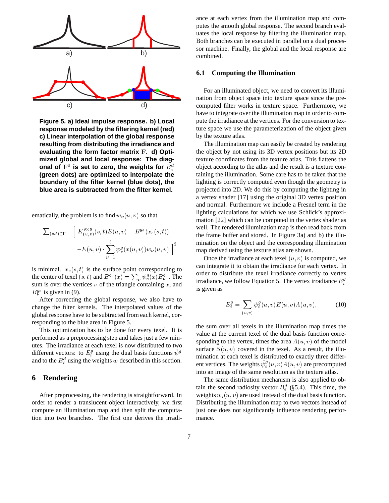

**Figure 5. a) Ideal impulse response. b) Local response modeled by the filtering kernel (red) c) Linear interpolation of the global response resulting from distributing the irradiance and evaluating the form factor matrix** <sup>F</sup>**. d) Optimized global and local response: The diag**onal of  $\mathbf{F}^0$  is set to zero, the weights for  $B_i^d$ i**(green dots) are optimized to interpolate the boundary of the filter kernel (blue dots), the blue area is subtracted from the filter kernel.**

ematically, the problem is to find  $w_{\nu}(u, v)$  so that

$$
\sum_{(s,t)\in\Gamma} \quad \left[ K^{9\times 9}_{(u,v)}(s,t)E(u,v) - B^{g_0}(x_c(s,t)) -E(u,v) \cdot \sum_{\nu=1}^3 \psi_{\nu}^g(x(u,v))w_{\nu}(u,v) \right]^2
$$

is minimal.  $x_c(s, t)$  is the surface point corresponding to the center of texel  $(s, t)$  and  $B^{g_0}(x) = \sum_{\nu} \psi_{\nu}^g(x) B^{g_0}_{\nu}$ . The sum is over the vertices  $\nu$  of the triangle containing  $x$ , and  $B_{\nu}^{g_0}$  is given in (9). .

After correcting the global response, we also have to change the filter kernels. The interpolated values of the global response have to be subtracted from each kernel, corresponding to the blue area in Figure 5.

This optimization has to be done for every texel. It is performed as a preprocessing step and takes just a few minutes. The irradiance at each texel is now distributed to two different vectors: to  $E_i^g$  using the dual basis functions  $\psi^g$ iand to the  $B_i^d$  using the weights w described in this section.

## **6 Rendering**

i

After preprocessing, the rendering is straightforward. In order to render a translucent object interactively, we first compute an illumination map and then split the computation into two branches. The first one derives the irradiance at each vertex from the illumination map and computes the smooth global response. The second branch evaluates the local response by filtering the illumination map. Both branches can be executed in parallel on a dual processor machine. Finally, the global and the local response are combined.

## **6.1 Computing the Illumination**

For an illuminated object, we need to convert its illumination from object space into texture space since the precomputed filter works in texture space. Furthermore, we have to integrate over the illumination map in order to compute the irradiance at the vertices. For the conversion to texture space we use the parameterization of the object given by the texture atlas.

The illumination map can easily be created by rendering the object by not using its 3D vertex positions but its 2D texture coordinates from the texture atlas. This flattens the object according to the atlas and the result is a texture containing the illumination. Some care has to be taken that the lighting is correctly computed even though the geometry is projected into 2D. We do this by computing the lighting in a vertex shader [17] using the original 3D vertex position and normal. Furthermore we include a Fresnel term in the lighting calculations for which we use Schlick's approximation [22] which can be computed in the vertex shader as well. The rendered illumination map is then read back from the frame buffer and stored. In Figure 3a) and b) the illumination on the object and the corresponding illumination map derived using the texture atlas are shown.

Once the irradiance at each texel  $(u, v)$  is computed, we can integrate it to obtain the irradiance for each vertex. In order to distribute the texel irradiance correctly to vertex irradiance, we follow Equation 5. The vertex irradiance  $E_i^g$ is given as

$$
E_i^g = \sum_{(u,v)} \tilde{\psi}_i^g(u,v) E(u,v) A(u,v), \tag{10}
$$

the sum over all texels in the illumination map times the value at the current texel of the dual basis function corresponding to the vertex, times the area  $A(u, v)$  of the model surface  $S(u, v)$  covered in the texel. As a result, the illumination at each texel is distributed to exactly three different vertices. The weights  $\psi_i^g(u, v) A(u, v)$  are precomputed into an image of the same resolution as the texture atlas.

The same distribution mechanism is also applied to obtain the second radiosity vector  $B_i^d$  (§5.4). This time, the weights  $w_i(u, v)$  are used instead of the dual basis function. Distributing the illumination map to two vectors instead of just one does not significantly influence rendering performance.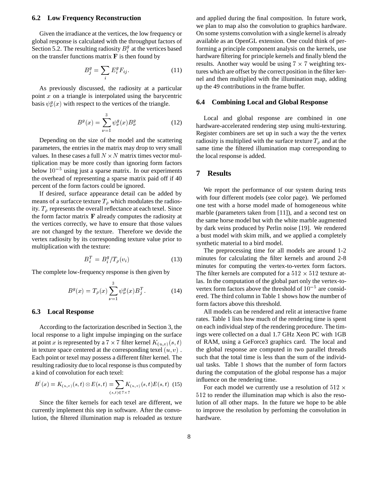#### **6.2 Low Frequency Reconstruction**

Given the irradiance at the vertices, the low frequency or global response is calculated with the throughput factors of Section 5.2. The resulting radiosity  $B_i^g$  at the vertices based ion the transfer functions matrix  $\bf{F}$  is then found by

$$
B_j^g = \sum_i E_i^g F_{ij}.
$$
 (11)

As previously discussed, the radiosity at a particular point  $x$  on a triangle is interpolated using the barycentric basis  $\psi_{\nu}^{g}(x)$  with respect to the vertices of the triangle.

$$
B^{g}(x) = \sum_{\nu=1}^{3} \psi_{\nu}^{g}(x) B_{\nu}^{g}
$$
 (12)

Depending on the size of the model and the scattering parameters, the entries in the matrix may drop to very small values. In these cases a full  $N \times N$  matrix times vector multiplication may be more costly than ignoring form factors below  $10^{-5}$  using just a sparse matrix. In our experiments the overhead of representing a sparse matrix paid off if 40 percent of the form factors could be ignored.

If desired, surface appearance detail can be added by means of a surfacce texture  $T_\rho$  which modulates the radiosity.  $T_{\rho}$  represents the overall reflectance at each texel. Since the form factor matrix  $\bf{F}$  already computes the radiosity at the vertices correctly, we have to ensure that those values are not changed by the texture. Therefore we devide the vertex radiosity by its corresponding texture value prior to multiplication with the texture:

$$
B_i^T = B_i^g / T_\rho(v_i) \tag{13}
$$

The complete low-frequency response is then given by

$$
B^{g}(x) = T_{\rho}(x) \sum_{\nu=1}^{3} \psi_{\nu}^{g}(x) B_{j}^{T}.
$$
 (14)

#### **6.3 Local Response**

According to the factorization described in Section 3, the local response to a light impulse impinging on the surface at point x is represented by a  $7 \times 7$  filter kernel  $K_{(u,v)}(s,t)$  or in texture space centered at the corresponding texel  $(u, v)$ . Each point or texel may possess a different filter kernel. The resulting radiosity due to local response is thus computed by a kind of convolution for each texel:

$$
B^{l}(x) = K_{(u,v)}(s,t) \otimes E(s,t) = \sum_{(s,t) \in 7 \times 7} K_{(u,v)}(s,t) E(s,t)
$$
 (15)

Since the filter kernels for each texel are different, we currently implement this step in software. After the convolution, the filtered illumination map is reloaded as texture and applied during the final composition. In future work, we plan to map also the convolution to graphics hardware. On some systems convolution with a single kernel is already available as an OpenGL extension. One could think of performing a principle component analysis on the kernels, use hardware filtering for principle kernels and finally blend the results. Another way would be using  $7 \times 7$  weighting textures which are offset by the correct position in the filter kernel and then multiplied with the illumination map, adding up the 49 contributions in the frame buffer.

#### **6.4 Combining Local and Global Response**

Local and global response are combined in one hardware-accelerated rendering step using multi-texturing. Register combiners are set up in such a way the the vertex radiosity is multiplied with the surface texture  $T<sub>o</sub>$  and at the same time the filtered illumination map corresponding to the local response is added.

#### **7 Results**

We report the performance of our system during tests with four different models (see color page). We perfomed one test with a horse model made of homogeneous white marble (parameters taken from [11]), and a second test on the same horse model but with the white marble augmented by dark veins produced by Perlin noise [19]. We rendered a bust model with skim milk, and we applied a completely synthetic material to a bird model.

The preprocessing time for all models are around 1-2 minutes for calculating the filter kernels and around 2-8 minutes for computing the vertex-to-vertex form factors. The filter kernels are computed for a  $512 \times 512$  texture atlas. In the computation of the global part only the vertex-tovertex form factors above the threshold of  $10^{-5}$  are considered. The third column in Table 1 shows how the number of form factors above this threshold.

All models can be rendered and relit at interactive frame rates. Table 1 lists how much of the rendering time is spent on each individual step of the rendering procedure. The timings were collected on a dual 1.7 GHz Xeon PC with 1GB of RAM, using a GeForce3 graphics card. The local and the global response are computed in two parallel threads such that the total time is less than the sum of the individual tasks. Table 1 shows that the number of form factors during the computation of the global response has a major influence on the rendering time.

For each model we currently use a resolution of  $512 \times$ <sup>512</sup> to render the illumination map which is also the resolution of all other maps. In the future we hope to be able to improve the resolution by perfoming the convolution in hardware.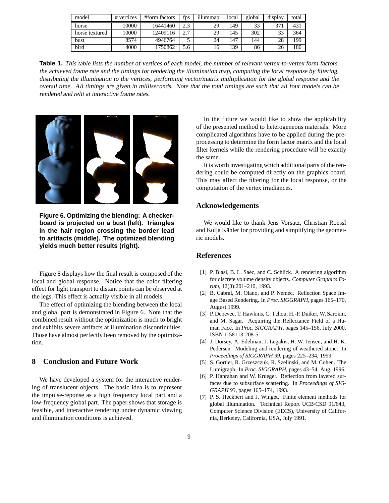| model          | vertices<br># | #form factors | fps                  | illummap | local | global | display | total |
|----------------|---------------|---------------|----------------------|----------|-------|--------|---------|-------|
| horse          | 10000         | 16441460      |                      | 29       | 149   | 33     | 371     | 43.   |
| horse textured | 10000         | 12409116      | $\overline{ }$<br>۷. | 29       | 145   | 302    | 33      | 364   |
| bust           | 8574          | 4946764       |                      | 24       | 147   | 144    | 28      | 199   |
| bird           | 4000          | 1750862       | 5.6                  | 16       | 139   | 86     | 26      | 180   |

**Table 1.** This table lists the number of vertices of each model, the number of relevant vertex-to-vertex form factors, the achieved frame rate and the timings for rendering the illumination map, computing the local response by filtering, distributing the illumination to the vertices, performing vector/matrix multiplication for the global response and the overall time. All timings are given in milliseconds. Note that the total timings are such that all four models can be rendered and relit at interactive frame rates.



**Figure 6. Optimizing the blending: A checkerboard is projected on a bust (left). Triangles in the hair region crossing the border lead to artifacts (middle). The optimized blending yields much better results (right).**

Figure 8 displays how the final result is composed of the local and global response. Notice that the color filtering effect for light transport to distant points can be observed at the legs. This effect is actually visible in all models.

The effect of optimizing the blending between the local and global part is demonstrated in Figure 6. Note that the combined result without the optimization is much to bright and exhibits severe artifacts at illumination discontinuities. Those have almost perfectly been removed by the optimization.

# **8 Conclusion and Future Work**

We have developed a system for the interactive rendering of translucent objects. The basic idea is to represent the impulse-reponse as a high frequency local part and a low-frequency global part. The paper shows that storage is feasible, and interactive rendering under dynamic viewing and illumination conditions is achieved.

In the future we would like to show the applicability of the presented method to heterogeneous materials. More complicated algorithms have to be applied during the preprocessing to determine the form factor matrix and the local filter kernels while the rendering procedure will be exactly the same.

It is worth investigating which additional parts of the rendering could be computed directly on the graphics board. This may affect the filtering for the local response, or the computation of the vertex irradiances.

## **Acknowledgements**

We would like to thank Jens Vorsatz, Christian Roessl and Kolja Kähler for providing and simplifying the geometric models.

# **References**

- [1] P. Blasi, B. L. Saëc, and C. Schlick. A rendering algorithm for discrete volume density objects. *Computer Graphics Forum*, 12(3):201–210, 1993.
- [2] B. Cabral, M. Olano, and P. Nemec. Reflection Space Image Based Rendering. In *Proc. SIGGRAPH*, pages 165–170, August 1999.
- [3] P. Debevec, T. Hawkins, C. Tchou, H.-P. Duiker, W. Sarokin, and M. Sagar. Acquiring the Reflectance Field of a Human Face. In *Proc. SIGGRAPH*, pages 145–156, July 2000. ISBN 1-58113-208-5.
- [4] J. Dorsey, A. Edelman, J. Legakis, H. W. Jensen, and H. K. Pedersen. Modeling and rendering of weathered stone. In *Proceedings of SIGGRAPH 99*, pages 225–234, 1999.
- [5] S. Gortler, R. Grzeszczuk, R. Szelinski, and M. Cohen. The Lumigraph. In *Proc. SIGGRAPH*, pages 43–54, Aug. 1996.
- [6] P. Hanrahan and W. Krueger. Reflection from layered surfaces due to subsurface scattering. In *Proceedings of SIG-GRAPH 93*, pages 165–174, 1993.
- [7] P. S. Heckbert and J. Winget. Finite element methods for global illumination. Technical Report UCB/CSD 91/643, Computer Science Division (EECS), University of California, Berkeley, California, USA, July 1991.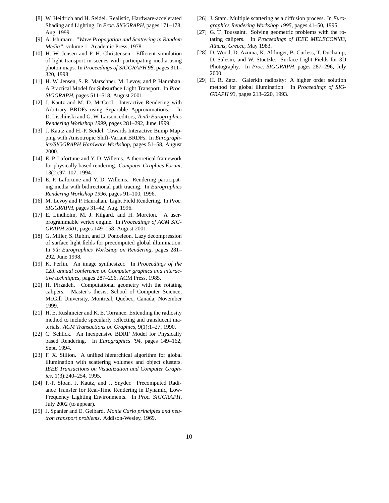- [8] W. Heidrich and H. Seidel. Realistic, Hardware-accelerated Shading and Lighting. In *Proc. SIGGRAPH*, pages 171–178, Aug. 1999.
- [9] A. Ishimaru. *"Wave Propagation and Scattering in Random Media"*, volume 1. Academic Press, 1978.
- [10] H. W. Jensen and P. H. Christensen. Efficient simulation of light transport in scenes with participating media using photon maps. In *Proceedings of SIGGRAPH 98*, pages 311– 320, 1998.
- [11] H. W. Jensen, S. R. Marschner, M. Levoy, and P. Hanrahan. A Practical Model for Subsurface Light Transport. In *Proc. SIGGRAPH*, pages 511–518, August 2001.
- [12] J. Kautz and M. D. McCool. Interactive Rendering with Arbitrary BRDFs using Separable Approximations. In D. Lischinski and G. W. Larson, editors, *Tenth Eurographics Rendering Workshop 1999*, pages 281–292, June 1999.
- [13] J. Kautz and H.-P. Seidel. Towards Interactive Bump Mapping with Anisotropic Shift-Variant BRDFs. In *Eurographics/SIGGRAPH Hardware Workshop*, pages 51–58, August 2000.
- [14] E. P. Lafortune and Y. D. Willems. A theoretical framework for physically based rendering. *Computer Graphics Forum*, 13(2):97–107, 1994.
- [15] E. P. Lafortune and Y. D. Willems. Rendering participating media with bidirectional path tracing. In *Eurographics Rendering Workshop 1996*, pages 91–100, 1996.
- [16] M. Levoy and P. Hanrahan. Light Field Rendering. In *Proc. SIGGRAPH*, pages 31–42, Aug. 1996.
- [17] E. Lindholm, M. J. Kilgard, and H. Moreton. A userprogrammable vertex engine. In *Proceedings of ACM SIG-GRAPH 2001*, pages 149–158, August 2001.
- [18] G. Miller, S. Rubin, and D. Ponceleon. Lazy decompression of surface light fields for precomputed global illumination. In *9th Eurographics Workshop on Rendering*, pages 281– 292, June 1998.
- [19] K. Perlin. An image synthesizer. In *Proceedings of the 12th annual conference on Computer graphics and interactive techniques*, pages 287–296. ACM Press, 1985.
- [20] H. Pirzadeh. Computational geometry with the rotating calipers. Master's thesis, School of Computer Science, McGill University, Montreal, Quebec, Canada, November 1999.
- [21] H. E. Rushmeier and K. E. Torrance. Extending the radiosity method to include specularly reflecting and translucent materials. *ACM Transactions on Graphics*, 9(1):1–27, 1990.
- [22] C. Schlick. An Inexpensive BDRF Model for Physically based Rendering. In *Eurographics '94*, pages 149–162, Sept. 1994.
- [23] F. X. Sillion. A unified hierarchical algorithm for global illumination with scattering volumes and object clusters. *IEEE Transactions on Visualization and Computer Graphics*, 1(3):240–254, 1995.
- [24] P.-P. Sloan, J. Kautz, and J. Snyder. Precomputed Radiance Transfer for Real-Time Rendering in Dynamic, Low-Frequency Lighting Environments. In *Proc. SIGGRAPH*, July 2002 (to appear).
- [25] J. Spanier and E. Gelbard. *Monte Carlo principles and neutron transport problems*. Addison-Wesley, 1969.
- [26] J. Stam. Multiple scattering as a diffusion process. In *Eurographics Rendering Workshop 1995*, pages 41–50, 1995.
- [27] G. T. Toussaint. Solving geometric problems with the rotating calipers. In *Proceedings of IEEE MELECON'83, Athens, Greece*, May 1983.
- [28] D. Wood, D. Azuma, K. Aldinger, B. Curless, T. Duchamp, D. Salesin, and W. Stuetzle. Surface Light Fields for 3D Photography. In *Proc. SIGGRAPH*, pages 287–296, July 2000.
- [29] H. R. Zatz. Galerkin radiosity: A higher order solution method for global illumination. In *Proceedings of SIG-GRAPH 93*, pages 213–220, 1993.